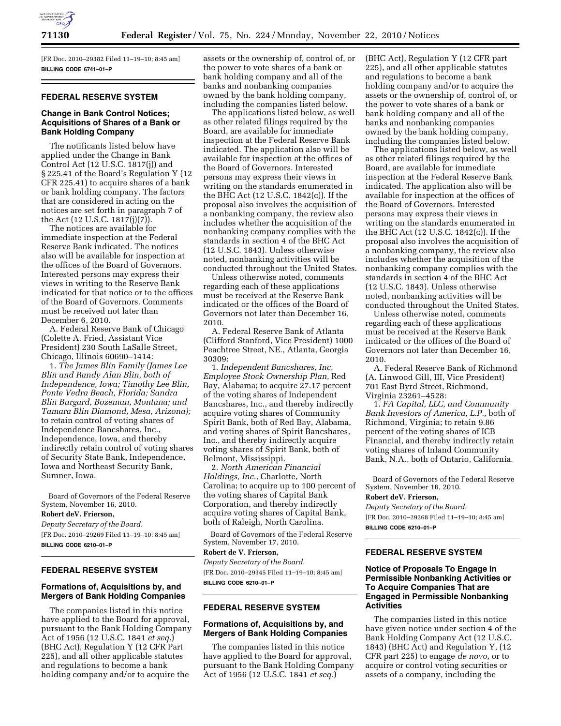

[FR Doc. 2010–29382 Filed 11–19–10; 8:45 am] **BILLING CODE 6741–01–P** 

## **FEDERAL RESERVE SYSTEM**

## **Change in Bank Control Notices; Acquisitions of Shares of a Bank or Bank Holding Company**

The notificants listed below have applied under the Change in Bank Control Act (12 U.S.C. 1817(j)) and § 225.41 of the Board's Regulation Y (12 CFR 225.41) to acquire shares of a bank or bank holding company. The factors that are considered in acting on the notices are set forth in paragraph 7 of the Act (12 U.S.C. 1817(j)(7)).

The notices are available for immediate inspection at the Federal Reserve Bank indicated. The notices also will be available for inspection at the offices of the Board of Governors. Interested persons may express their views in writing to the Reserve Bank indicated for that notice or to the offices of the Board of Governors. Comments must be received not later than December 6, 2010.

A. Federal Reserve Bank of Chicago (Colette A. Fried, Assistant Vice President) 230 South LaSalle Street, Chicago, Illinois 60690–1414:

1. *The James Blin Family (James Lee Blin and Randy Alan Blin, both of Independence, Iowa; Timothy Lee Blin, Ponte Vedra Beach, Florida; Sandra Blin Burgard, Bozeman, Montana; and Tamara Blin Diamond, Mesa, Arizona);*  to retain control of voting shares of Independence Bancshares, Inc., Independence, Iowa, and thereby indirectly retain control of voting shares of Security State Bank, Independence, Iowa and Northeast Security Bank, Sumner, Iowa.

Board of Governors of the Federal Reserve System, November 16, 2010.

**Robert deV. Frierson,** 

*Deputy Secretary of the Board.*  [FR Doc. 2010–29269 Filed 11–19–10; 8:45 am] **BILLING CODE 6210–01–P** 

## **FEDERAL RESERVE SYSTEM**

## **Formations of, Acquisitions by, and Mergers of Bank Holding Companies**

The companies listed in this notice have applied to the Board for approval, pursuant to the Bank Holding Company Act of 1956 (12 U.S.C. 1841 *et seq.*) (BHC Act), Regulation Y (12 CFR Part 225), and all other applicable statutes and regulations to become a bank holding company and/or to acquire the

assets or the ownership of, control of, or the power to vote shares of a bank or bank holding company and all of the banks and nonbanking companies owned by the bank holding company, including the companies listed below.

The applications listed below, as well as other related filings required by the Board, are available for immediate inspection at the Federal Reserve Bank indicated. The application also will be available for inspection at the offices of the Board of Governors. Interested persons may express their views in writing on the standards enumerated in the BHC Act (12 U.S.C. 1842(c)). If the proposal also involves the acquisition of a nonbanking company, the review also includes whether the acquisition of the nonbanking company complies with the standards in section 4 of the BHC Act (12 U.S.C. 1843). Unless otherwise noted, nonbanking activities will be conducted throughout the United States.

Unless otherwise noted, comments regarding each of these applications must be received at the Reserve Bank indicated or the offices of the Board of Governors not later than December 16, 2010.

A. Federal Reserve Bank of Atlanta (Clifford Stanford, Vice President) 1000 Peachtree Street, NE., Atlanta, Georgia 30309:

1. *Independent Bancshares, Inc. Employee Stock Ownership Plan,* Red Bay, Alabama; to acquire 27.17 percent of the voting shares of Independent Bancshares, Inc., and thereby indirectly acquire voting shares of Community Spirit Bank, both of Red Bay, Alabama, and voting shares of Spirit Bancshares, Inc., and thereby indirectly acquire voting shares of Spirit Bank, both of Belmont, Mississippi.

2. *North American Financial Holdings, Inc.,* Charlotte, North Carolina; to acquire up to 100 percent of the voting shares of Capital Bank Corporation, and thereby indirectly acquire voting shares of Capital Bank, both of Raleigh, North Carolina.

Board of Governors of the Federal Reserve System, November 17, 2010.

# **Robert de V. Frierson,**

*Deputy Secretary of the Board.*  [FR Doc. 2010–29345 Filed 11–19–10; 8:45 am] **BILLING CODE 6210–01–P** 

#### **FEDERAL RESERVE SYSTEM**

## **Formations of, Acquisitions by, and Mergers of Bank Holding Companies**

The companies listed in this notice have applied to the Board for approval, pursuant to the Bank Holding Company Act of 1956 (12 U.S.C. 1841 *et seq.*)

(BHC Act), Regulation Y (12 CFR part 225), and all other applicable statutes and regulations to become a bank holding company and/or to acquire the assets or the ownership of, control of, or the power to vote shares of a bank or bank holding company and all of the banks and nonbanking companies owned by the bank holding company, including the companies listed below.

The applications listed below, as well as other related filings required by the Board, are available for immediate inspection at the Federal Reserve Bank indicated. The application also will be available for inspection at the offices of the Board of Governors. Interested persons may express their views in writing on the standards enumerated in the BHC Act (12 U.S.C. 1842(c)). If the proposal also involves the acquisition of a nonbanking company, the review also includes whether the acquisition of the nonbanking company complies with the standards in section 4 of the BHC Act (12 U.S.C. 1843). Unless otherwise noted, nonbanking activities will be conducted throughout the United States.

Unless otherwise noted, comments regarding each of these applications must be received at the Reserve Bank indicated or the offices of the Board of Governors not later than December 16, 2010.

A. Federal Reserve Bank of Richmond (A. Linwood Gill, III, Vice President) 701 East Byrd Street, Richmond, Virginia 23261–4528:

1. *FA Capital, LLC, and Community Bank Investors of America, L.P.,* both of Richmond, Virginia; to retain 9.86 percent of the voting shares of ICB Financial, and thereby indirectly retain voting shares of Inland Community Bank, N.A., both of Ontario, California.

Board of Governors of the Federal Reserve System, November 16, 2010.

#### **Robert deV. Frierson,**

*Deputy Secretary of the Board.*  [FR Doc. 2010–29268 Filed 11–19–10; 8:45 am]

**BILLING CODE 6210–01–P** 

## **FEDERAL RESERVE SYSTEM**

## **Notice of Proposals To Engage in Permissible Nonbanking Activities or To Acquire Companies That are Engaged in Permissible Nonbanking Activities**

The companies listed in this notice have given notice under section 4 of the Bank Holding Company Act (12 U.S.C. 1843) (BHC Act) and Regulation Y, (12 CFR part 225) to engage *de novo,* or to acquire or control voting securities or assets of a company, including the